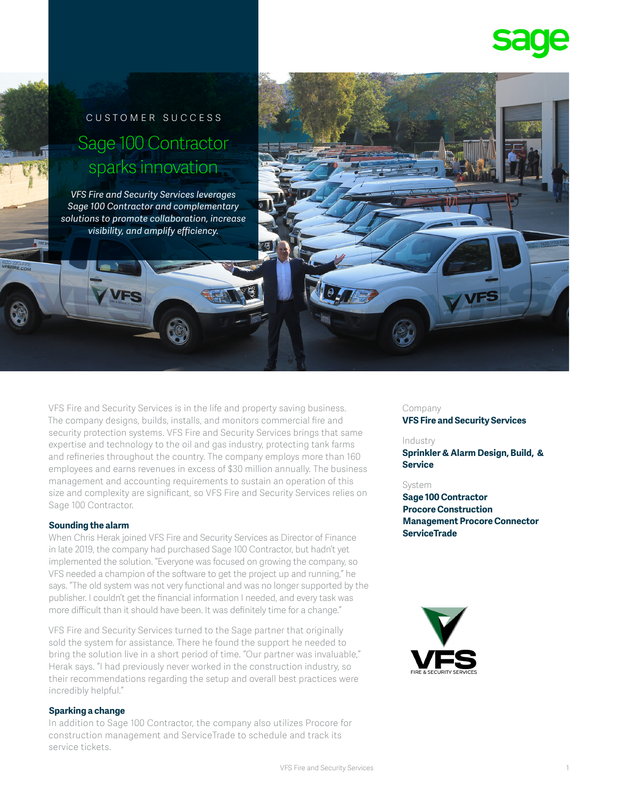

# customer success Sage 100 Contractor sparks innovation

*VFS Fire and Security Services leverages Sage 100 Contractor and complementary solutions to promote collaboration, increase visibility, and amplify efficiency.*

VFS Fire and Security Services is in the life and property saving business. The company designs, builds, installs, and monitors commercial fire and security protection systems. VFS Fire and Security Services brings that same expertise and technology to the oil and gas industry, protecting tank farms and refineries throughout the country. The company employs more than 160 employees and earns revenues in excess of \$30 million annually. The business management and accounting requirements to sustain an operation of this size and complexity are significant, so VFS Fire and Security Services relies on Sage 100 Contractor.

#### **Sounding the alarm**

When Chris Herak joined VFS Fire and Security Services as Director of Finance in late 2019, the company had purchased Sage 100 Contractor, but hadn't yet implemented the solution. "Everyone was focused on growing the company, so VFS needed a champion of the software to get the project up and running," he says. "The old system was not very functional and was no longer supported by the publisher. I couldn't get the financial information I needed, and every task was more difficult than it should have been. It was definitely time for a change."

VFS Fire and Security Services turned to the Sage partner that originally sold the system for assistance. There he found the support he needed to bring the solution live in a short period of time. "Our partner was invaluable," Herak says. "I had previously never worked in the construction industry, so their recommendations regarding the setup and overall best practices were incredibly helpful."

#### **Sparking a change**

In addition to Sage 100 Contractor, the company also utilizes Procore for construction management and ServiceTrade to schedule and track its service tickets.

## Company

**VFS Fire and Security Services** 

#### Industry

**Sprinkler & Alarm Design, Build, & Service**

#### System

**Sage 100 Contractor Procore Construction Management Procore Connector ServiceTrade**